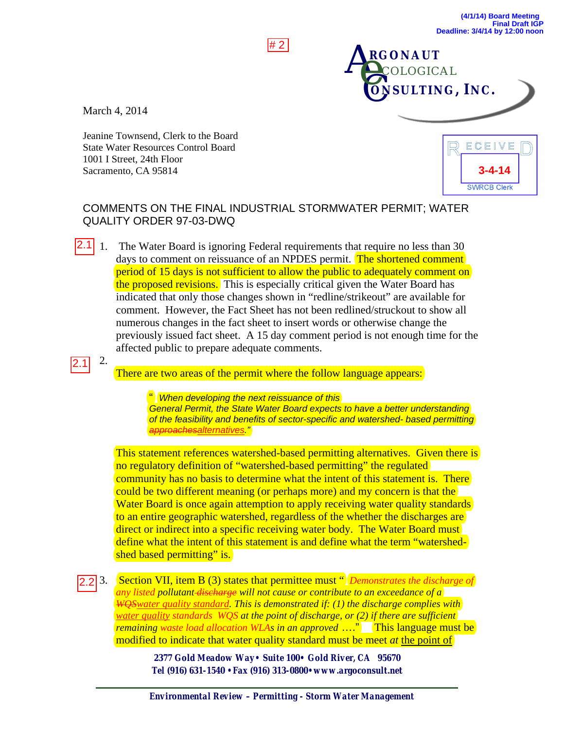March 4, 2014

Jeanine Townsend, Clerk to the Board State Water Resources Control Board 1001 I Street, 24th Floor Sacramento, CA 95814



C**ONSULTING, INC.**

**COLOGICAL** 

**RGONAUT**

**AR** 

## COMMENTS ON THE FINAL INDUSTRIAL STORMWATER PERMIT; WATER QUALITY ORDER 97-03-DWQ

# 2

1. The Water Board is ignoring Federal requirements that require no less than 30 days to comment on reissuance of an NPDES permit. The shortened comment period of 15 days is not sufficient to allow the public to adequately comment on the proposed revisions. This is especially critical given the Water Board has indicated that only those changes shown in "redline/strikeout" are available for comment. However, the Fact Sheet has not been redlined/struckout to show all numerous changes in the fact sheet to insert words or otherwise change the previously issued fact sheet. A 15 day comment period is not enough time for the affected public to prepare adequate comments.  $2.1$ | 1.

2.1<br> $\sqrt{2.2}$  $2.1$ 

2.

There are two areas of the permit where the follow language appears:

" *When developing the next reissuance of this General Permit, the State Water Board expects to have a better understanding of the feasibility and benefits of sector-specific and watershed- based permitting approachesalternatives."*

This statement references watershed-based permitting alternatives. Given there is no regulatory definition of "watershed-based permitting" the regulated community has no basis to determine what the intent of this statement is. There could be two different meaning (or perhaps more) and my concern is that the Water Board is once again attemption to apply receiving water quality standards to an entire geographic watershed, regardless of the whether the discharges are direct or indirect into a specific receiving water body. The Water Board must define what the intent of this statement is and define what the term "watershedshed based permitting" is.

3. Section VII, item B (3) states that permittee must " *Demonstrates the discharge of any listed pollutant discharge will not cause or contribute to an exceedance of a WQSwater quality standard. This is demonstrated if: (1) the discharge complies with water quality standards WQS at the point of discharge, or (2) if there are sufficient remaining waste load allocation WLAs in an approved* …." This language must be modified to indicate that water quality standard must be meet *at* the point of

> *2377 Gold Meadow Way• Suite 100• Gold River, CA 95670 Tel (916) 631-1540 •Fax (916) 313-0800•www.argoconsult.net*